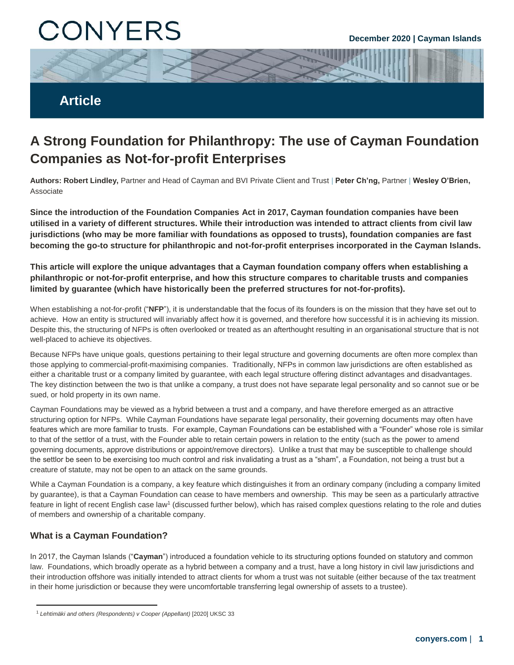# CONYERS



## **A Strong Foundation for Philanthropy: The use of Cayman Foundation Companies as Not-for-profit Enterprises**

**Authors: Robert Lindley,** Partner and Head of Cayman and BVI Private Client and Trust | **Peter Ch'ng,** Partner | **Wesley O'Brien,**  Associate

**Since the introduction of the Foundation Companies Act in 2017, Cayman foundation companies have been utilised in a variety of different structures. While their introduction was intended to attract clients from civil law jurisdictions (who may be more familiar with foundations as opposed to trusts), foundation companies are fast becoming the go-to structure for philanthropic and not-for-profit enterprises incorporated in the Cayman Islands.**

**This article will explore the unique advantages that a Cayman foundation company offers when establishing a philanthropic or not-for-profit enterprise, and how this structure compares to charitable trusts and companies limited by guarantee (which have historically been the preferred structures for not-for-profits).**

When establishing a not-for-profit ("**NFP**"), it is understandable that the focus of its founders is on the mission that they have set out to achieve. How an entity is structured will invariably affect how it is governed, and therefore how successful it is in achieving its mission. Despite this, the structuring of NFPs is often overlooked or treated as an afterthought resulting in an organisational structure that is not well-placed to achieve its objectives.

Because NFPs have unique goals, questions pertaining to their legal structure and governing documents are often more complex than those applying to commercial-profit-maximising companies. Traditionally, NFPs in common law jurisdictions are often established as either a charitable trust or a company limited by guarantee, with each legal structure offering distinct advantages and disadvantages. The key distinction between the two is that unlike a company, a trust does not have separate legal personality and so cannot sue or be sued, or hold property in its own name.

Cayman Foundations may be viewed as a hybrid between a trust and a company, and have therefore emerged as an attractive structuring option for NFPs. While Cayman Foundations have separate legal personality, their governing documents may often have features which are more familiar to trusts. For example, Cayman Foundations can be established with a "Founder" whose role is similar to that of the settlor of a trust, with the Founder able to retain certain powers in relation to the entity (such as the power to amend governing documents, approve distributions or appoint/remove directors). Unlike a trust that may be susceptible to challenge should the settlor be seen to be exercising too much control and risk invalidating a trust as a "sham", a Foundation, not being a trust but a creature of statute, may not be open to an attack on the same grounds.

While a Cayman Foundation is a company, a key feature which distinguishes it from an ordinary company (including a company limited by guarantee), is that a Cayman Foundation can cease to have members and ownership. This may be seen as a particularly attractive feature in light of recent English case law<sup>1</sup> (discussed further below), which has raised complex questions relating to the role and duties of members and ownership of a charitable company.

### **What is a Cayman Foundation?**

 $\overline{a}$ 

In 2017, the Cayman Islands ("**Cayman**") introduced a foundation vehicle to its structuring options founded on statutory and common law. Foundations, which broadly operate as a hybrid between a company and a trust, have a long history in civil law jurisdictions and their introduction offshore was initially intended to attract clients for whom a trust was not suitable (either because of the tax treatment in their home jurisdiction or because they were uncomfortable transferring legal ownership of assets to a trustee).

<sup>1</sup> *Lehtimäki and others (Respondents) v Cooper (Appellant)* [2020] UKSC 33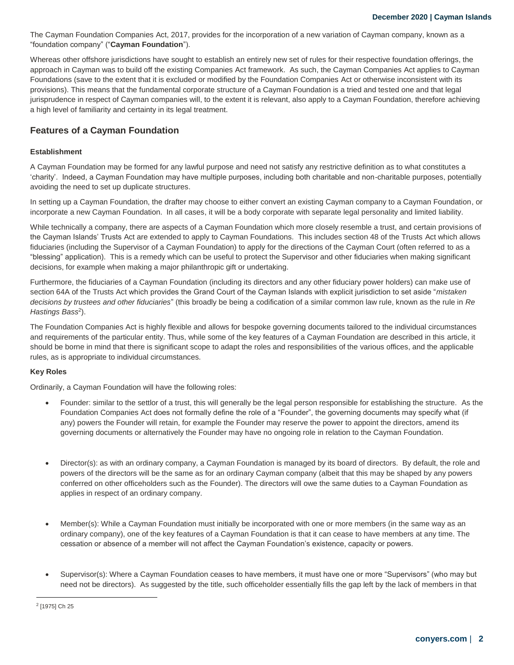The Cayman Foundation Companies Act, 2017, provides for the incorporation of a new variation of Cayman company, known as a "foundation company" ("**Cayman Foundation**").

jurisprudence in respect of Cayman companies will, to the extent it is relevant, also apply to a Cayman Foundation, therefore achieving Whereas other offshore jurisdictions have sought to establish an entirely new set of rules for their respective foundation offerings, the approach in Cayman was to build off the existing Companies Act framework. As such, the Cayman Companies Act applies to Cayman Foundations (save to the extent that it is excluded or modified by the Foundation Companies Act or otherwise inconsistent with its provisions). This means that the fundamental corporate structure of a Cayman Foundation is a tried and tested one and that legal a high level of familiarity and certainty in its legal treatment.

#### **Features of a Cayman Foundation**

#### **Establishment**

A Cayman Foundation may be formed for any lawful purpose and need not satisfy any restrictive definition as to what constitutes a 'charity'. Indeed, a Cayman Foundation may have multiple purposes, including both charitable and non-charitable purposes, potentially avoiding the need to set up duplicate structures.

In setting up a Cayman Foundation, the drafter may choose to either convert an existing Cayman company to a Cayman Foundation, or incorporate a new Cayman Foundation. In all cases, it will be a body corporate with separate legal personality and limited liability.

While technically a company, there are aspects of a Cayman Foundation which more closely resemble a trust, and certain provisions of the Cayman Islands' Trusts Act are extended to apply to Cayman Foundations. This includes section 48 of the Trusts Act which allows fiduciaries (including the Supervisor of a Cayman Foundation) to apply for the directions of the Cayman Court (often referred to as a "blessing" application). This is a remedy which can be useful to protect the Supervisor and other fiduciaries when making significant decisions, for example when making a major philanthropic gift or undertaking.

Furthermore, the fiduciaries of a Cayman Foundation (including its directors and any other fiduciary power holders) can make use of section 64A of the Trusts Act which provides the Grand Court of the Cayman Islands with explicit jurisdiction to set aside "*mistaken decisions by trustees and other fiduciaries*" (this broadly be being a codification of a similar common law rule, known as the rule in *Re*  Hastings Bass<sup>2</sup>).

The Foundation Companies Act is highly flexible and allows for bespoke governing documents tailored to the individual circumstances and requirements of the particular entity. Thus, while some of the key features of a Cayman Foundation are described in this article, it should be borne in mind that there is significant scope to adapt the roles and responsibilities of the various offices, and the applicable rules, as is appropriate to individual circumstances.

#### **Key Roles**

Ordinarily, a Cayman Foundation will have the following roles:

- Founder: similar to the settlor of a trust, this will generally be the legal person responsible for establishing the structure. As the Foundation Companies Act does not formally define the role of a "Founder", the governing documents may specify what (if any) powers the Founder will retain, for example the Founder may reserve the power to appoint the directors, amend its governing documents or alternatively the Founder may have no ongoing role in relation to the Cayman Foundation.
- Director(s): as with an ordinary company, a Cayman Foundation is managed by its board of directors. By default, the role and powers of the directors will be the same as for an ordinary Cayman company (albeit that this may be shaped by any powers conferred on other officeholders such as the Founder). The directors will owe the same duties to a Cayman Foundation as applies in respect of an ordinary company.
- Member(s): While a Cayman Foundation must initially be incorporated with one or more members (in the same way as an ordinary company), one of the key features of a Cayman Foundation is that it can cease to have members at any time. The cessation or absence of a member will not affect the Cayman Foundation's existence, capacity or powers.
- Supervisor(s): Where a Cayman Foundation ceases to have members, it must have one or more "Supervisors" (who may but need not be directors). As suggested by the title, such officeholder essentially fills the gap left by the lack of members in that

<sup>1</sup> <sup>2</sup> [1975] Ch 25